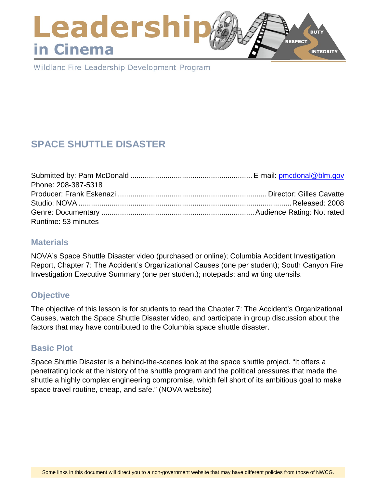### Leadershi **DUTY RESPECT** in Cinema **INTEGRITY**

Wildland Fire Leadership Development Program

# **SPACE SHUTTLE DISASTER**

| Phone: 208-387-5318 |  |
|---------------------|--|
|                     |  |
|                     |  |
|                     |  |
| Runtime: 53 minutes |  |

#### **Materials**

NOVA's Space Shuttle Disaster video (purchased or online); Columbia Accident Investigation Report, Chapter 7: The Accident's Organizational Causes (one per student); South Canyon Fire Investigation Executive Summary (one per student); notepads; and writing utensils.

# **Objective**

The objective of this lesson is for students to read the Chapter 7: The Accident's Organizational Causes, watch the Space Shuttle Disaster video, and participate in group discussion about the factors that may have contributed to the Columbia space shuttle disaster.

# **Basic Plot**

Space Shuttle Disaster is a behind-the-scenes look at the space shuttle project. "It offers a penetrating look at the history of the shuttle program and the political pressures that made the shuttle a highly complex engineering compromise, which fell short of its ambitious goal to make space travel routine, cheap, and safe." (NOVA website)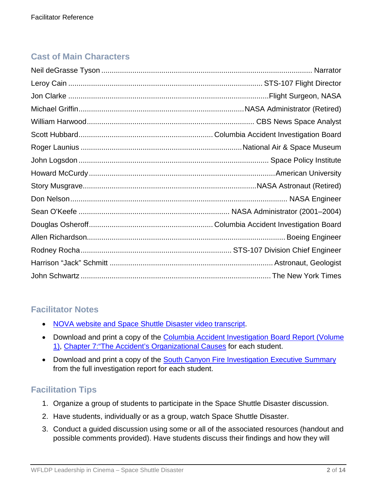# **Cast of Main Characters**

# **Facilitator Notes**

- [NOVA website and Space Shuttle Disaster](http://www.pbs.org/wgbh/nova/space/space-shuttle-disaster.html) video transcript.
- Download and print a copy of the Columbia Accident Investigation Board Report (Volume [1\),](https://www.nasa.gov/columbia/home/CAIB_Vol1.html) [Chapter 7:"The Accident's Organizational Causes](http://s3.amazonaws.com/akamai.netstorage/anon.nasa-global/CAIB/CAIB_lowres_chapter7.pdf) for each student.
- Download and print a copy of the [South Canyon Fire Investigation Executive Summary](https://www.wildfirelessons.net/orphans/viewincident?DocumentKey=db8d7dbe-5f56-4b4b-bfe4-aec1a4e40b53) from the full investigation report for each student.

# **Facilitation Tips**

- 1. Organize a group of students to participate in the Space Shuttle Disaster discussion.
- 2. Have students, individually or as a group, watch Space Shuttle Disaster.
- 3. Conduct a guided discussion using some or all of the associated resources (handout and possible comments provided). Have students discuss their findings and how they will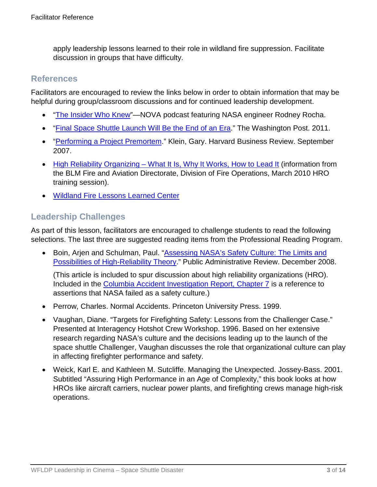apply leadership lessons learned to their role in wildland fire suppression. Facilitate discussion in groups that have difficulty.

### **References**

Facilitators are encouraged to review the links below in order to obtain information that may be helpful during group/classroom discussions and for continued leadership development.

- ["The Insider Who Knew"](http://www.pbs.org/wgbh/nova/space/rocha-space-shuttle.html)—NOVA podcast featuring NASA engineer Rodney Rocha.
- ["Final Space Shuttle Launch Will Be the End of an Era.](https://www.washingtonpost.com/national/health-science/remembering-the-shuttle-era/2011/07/01/AG35yStH_video.html?deferJs=true&outputType=default-article)" The Washington Post. 2011.
- ["Performing a Project Premortem.](https://hbr.org/2007/09/performing-a-project-premortem)" Klein, Gary. Harvard Business Review. September 2007.
- High Reliability Organizing [What It Is, Why It Works, How to Lead It](https://www.nifc.gov/training/HRO/HRO_2010training.pdf) (information from the BLM Fire and Aviation Directorate, Division of Fire Operations, March 2010 HRO training session).
- [Wildland Fire Lessons Learned Center](https://www.wildfirelessons.net/home)

# **Leadership Challenges**

As part of this lesson, facilitators are encouraged to challenge students to read the following selections. The last three are suggested reading items from the Professional Reading Program.

• Boin, Arjen and Schulman, Paul. "Assessing NASA's Safety Culture: The Limits and [Possibilities of High-Reliability Theory.](http://faculty.cbpp.uaa.alaska.edu/afgjp/PADM610/Assessing%20NASA)" Public Administrative Review. December 2008.

(This article is included to spur discussion about high reliability organizations (HRO). Included in the [Columbia Accident Investigation](http://s3.amazonaws.com/akamai.netstorage/anon.nasa-global/CAIB/CAIB_lowres_chapter7.pdf) Report, Chapter 7 is a reference to assertions that NASA failed as a safety culture.)

- Perrow, Charles. Normal Accidents. Princeton University Press. 1999.
- Vaughan, Diane. "Targets for Firefighting Safety: Lessons from the Challenger Case." Presented at Interagency Hotshot Crew Workshop. 1996. Based on her extensive research regarding NASA's culture and the decisions leading up to the launch of the space shuttle Challenger, Vaughan discusses the role that organizational culture can play in affecting firefighter performance and safety.
- Weick, Karl E. and Kathleen M. Sutcliffe. Managing the Unexpected. Jossey-Bass. 2001. Subtitled "Assuring High Performance in an Age of Complexity," this book looks at how HROs like aircraft carriers, nuclear power plants, and firefighting crews manage high-risk operations.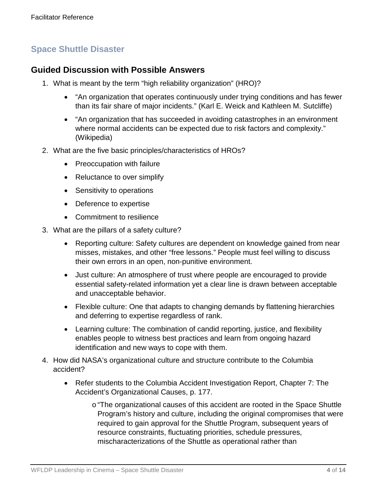# **Space Shuttle Disaster**

#### **Guided Discussion with Possible Answers**

- 1. What is meant by the term "high reliability organization" (HRO)?
	- "An organization that operates continuously under trying conditions and has fewer than its fair share of major incidents." (Karl E. Weick and Kathleen M. Sutcliffe)
	- "An organization that has succeeded in avoiding catastrophes in an environment where normal accidents can be expected due to risk factors and complexity." (Wikipedia)
- 2. What are the five basic principles/characteristics of HROs?
	- Preoccupation with failure
	- Reluctance to over simplify
	- Sensitivity to operations
	- Deference to expertise
	- Commitment to resilience
- 3. What are the pillars of a safety culture?
	- Reporting culture: Safety cultures are dependent on knowledge gained from near misses, mistakes, and other "free lessons." People must feel willing to discuss their own errors in an open, non-punitive environment.
	- Just culture: An atmosphere of trust where people are encouraged to provide essential safety-related information yet a clear line is drawn between acceptable and unacceptable behavior.
	- Flexible culture: One that adapts to changing demands by flattening hierarchies and deferring to expertise regardless of rank.
	- Learning culture: The combination of candid reporting, justice, and flexibility enables people to witness best practices and learn from ongoing hazard identification and new ways to cope with them.
- 4. How did NASA's organizational culture and structure contribute to the Columbia accident?
	- Refer students to the Columbia Accident Investigation Report, Chapter 7: The Accident's Organizational Causes, p. 177.
		- o"The organizational causes of this accident are rooted in the Space Shuttle Program's history and culture, including the original compromises that were required to gain approval for the Shuttle Program, subsequent years of resource constraints, fluctuating priorities, schedule pressures, mischaracterizations of the Shuttle as operational rather than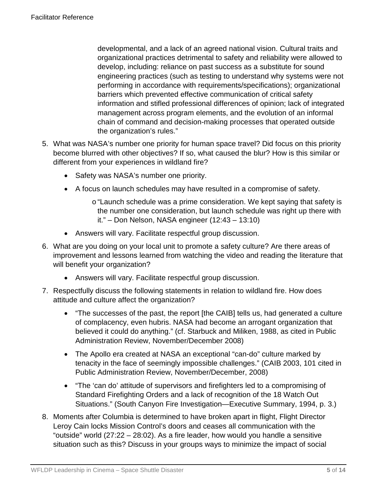developmental, and a lack of an agreed national vision. Cultural traits and organizational practices detrimental to safety and reliability were allowed to develop, including: reliance on past success as a substitute for sound engineering practices (such as testing to understand why systems were not performing in accordance with requirements/specifications); organizational barriers which prevented effective communication of critical safety information and stifled professional differences of opinion; lack of integrated management across program elements, and the evolution of an informal chain of command and decision-making processes that operated outside the organization's rules."

- 5. What was NASA's number one priority for human space travel? Did focus on this priority become blurred with other objectives? If so, what caused the blur? How is this similar or different from your experiences in wildland fire?
	- Safety was NASA's number one priority.
	- A focus on launch schedules may have resulted in a compromise of safety.
		- o"Launch schedule was a prime consideration. We kept saying that safety is the number one consideration, but launch schedule was right up there with it." – Don Nelson, NASA engineer (12:43 – 13:10)
	- Answers will vary. Facilitate respectful group discussion.
- 6. What are you doing on your local unit to promote a safety culture? Are there areas of improvement and lessons learned from watching the video and reading the literature that will benefit your organization?
	- Answers will vary. Facilitate respectful group discussion.
- 7. Respectfully discuss the following statements in relation to wildland fire. How does attitude and culture affect the organization?
	- "The successes of the past, the report [the CAIB] tells us, had generated a culture of complacency, even hubris. NASA had become an arrogant organization that believed it could do anything." (cf. Starbuck and Miliken, 1988, as cited in Public Administration Review, November/December 2008)
	- The Apollo era created at NASA an exceptional "can-do" culture marked by tenacity in the face of seemingly impossible challenges." (CAIB 2003, 101 cited in Public Administration Review, November/December, 2008)
	- "The 'can do' attitude of supervisors and firefighters led to a compromising of Standard Firefighting Orders and a lack of recognition of the 18 Watch Out Situations." (South Canyon Fire Investigation—Executive Summary, 1994, p. 3.)
- 8. Moments after Columbia is determined to have broken apart in flight, Flight Director Leroy Cain locks Mission Control's doors and ceases all communication with the "outside" world (27:22 – 28:02). As a fire leader, how would you handle a sensitive situation such as this? Discuss in your groups ways to minimize the impact of social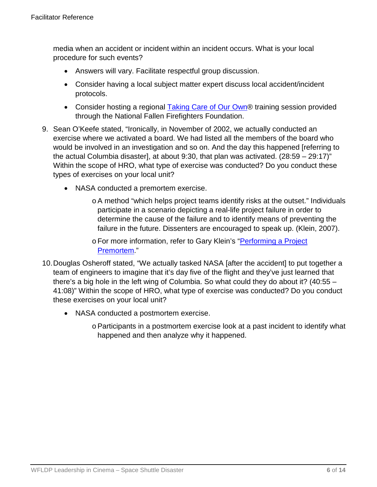media when an accident or incident within an incident occurs. What is your local procedure for such events?

- Answers will vary. Facilitate respectful group discussion.
- Consider having a local subject matter expert discuss local accident/incident protocols.
- Consider hosting a regional **Taking Care of Our Own**® training session provided through the National Fallen Firefighters Foundation.
- 9. Sean O'Keefe stated, "Ironically, in November of 2002, we actually conducted an exercise where we activated a board. We had listed all the members of the board who would be involved in an investigation and so on. And the day this happened [referring to the actual Columbia disaster], at about 9:30, that plan was activated. (28:59 – 29:17)" Within the scope of HRO, what type of exercise was conducted? Do you conduct these types of exercises on your local unit?
	- NASA conducted a premortem exercise.
		- oA method "which helps project teams identify risks at the outset." Individuals participate in a scenario depicting a real-life project failure in order to determine the cause of the failure and to identify means of preventing the failure in the future. Dissenters are encouraged to speak up. (Klein, 2007).
		- o For more information, refer to Gary Klein's "Performing a Project [Premortem.](http://hbr.org/2007/09/performing-a-project-premortem/ar/1)"
- 10.Douglas Osheroff stated, "We actually tasked NASA [after the accident] to put together a team of engineers to imagine that it's day five of the flight and they've just learned that there's a big hole in the left wing of Columbia. So what could they do about it? (40:55 – 41:08)" Within the scope of HRO, what type of exercise was conducted? Do you conduct these exercises on your local unit?
	- NASA conducted a postmortem exercise.
		- oParticipants in a postmortem exercise look at a past incident to identify what happened and then analyze why it happened.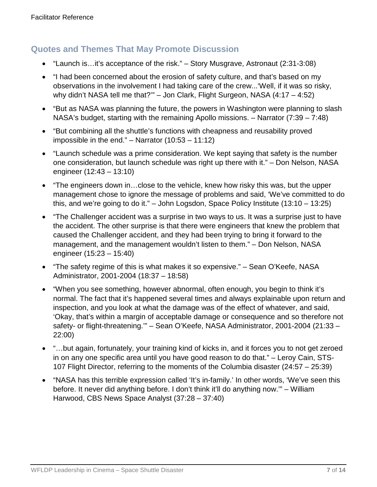### **Quotes and Themes That May Promote Discussion**

- "Launch is…it's acceptance of the risk." Story Musgrave, Astronaut (2:31-3:08)
- "I had been concerned about the erosion of safety culture, and that's based on my observations in the involvement I had taking care of the crew...'Well, if it was so risky, why didn't NASA tell me that?'" – Jon Clark, Flight Surgeon, NASA (4:17 – 4:52)
- "But as NASA was planning the future, the powers in Washington were planning to slash NASA's budget, starting with the remaining Apollo missions. – Narrator (7:39 – 7:48)
- "But combining all the shuttle's functions with cheapness and reusability proved impossible in the end."  $-$  Narrator (10:53  $-$  11:12)
- "Launch schedule was a prime consideration. We kept saying that safety is the number one consideration, but launch schedule was right up there with it." – Don Nelson, NASA engineer (12:43 – 13:10)
- "The engineers down in…close to the vehicle, knew how risky this was, but the upper management chose to ignore the message of problems and said, 'We've committed to do this, and we're going to do it." – John Logsdon, Space Policy Institute (13:10 – 13:25)
- "The Challenger accident was a surprise in two ways to us. It was a surprise just to have the accident. The other surprise is that there were engineers that knew the problem that caused the Challenger accident, and they had been trying to bring it forward to the management, and the management wouldn't listen to them." – Don Nelson, NASA engineer (15:23 – 15:40)
- "The safety regime of this is what makes it so expensive." Sean O'Keefe, NASA Administrator, 2001-2004 (18:37 – 18:58)
- "When you see something, however abnormal, often enough, you begin to think it's normal. The fact that it's happened several times and always explainable upon return and inspection, and you look at what the damage was of the effect of whatever, and said, 'Okay, that's within a margin of acceptable damage or consequence and so therefore not safety- or flight-threatening.'" – Sean O'Keefe, NASA Administrator, 2001-2004 (21:33 – 22:00)
- "…but again, fortunately, your training kind of kicks in, and it forces you to not get zeroed in on any one specific area until you have good reason to do that." – Leroy Cain, STS-107 Flight Director, referring to the moments of the Columbia disaster (24:57 – 25:39)
- "NASA has this terrible expression called 'It's in-family.' In other words, 'We've seen this before. It never did anything before. I don't think it'll do anything now.'" – William Harwood, CBS News Space Analyst (37:28 – 37:40)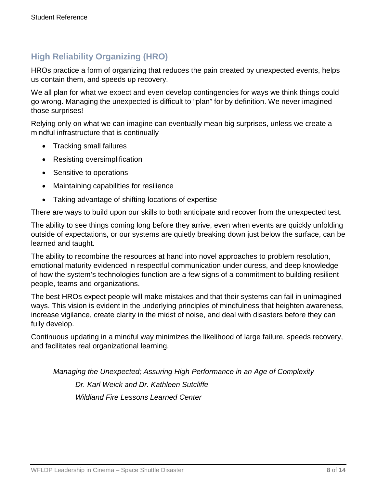# **High Reliability Organizing (HRO)**

HROs practice a form of organizing that reduces the pain created by unexpected events, helps us contain them, and speeds up recovery.

We all plan for what we expect and even develop contingencies for ways we think things could go wrong. Managing the unexpected is difficult to "plan" for by definition. We never imagined those surprises!

Relying only on what we can imagine can eventually mean big surprises, unless we create a mindful infrastructure that is continually

- Tracking small failures
- Resisting oversimplification
- Sensitive to operations
- Maintaining capabilities for resilience
- Taking advantage of shifting locations of expertise

There are ways to build upon our skills to both anticipate and recover from the unexpected test.

The ability to see things coming long before they arrive, even when events are quickly unfolding outside of expectations, or our systems are quietly breaking down just below the surface, can be learned and taught.

The ability to recombine the resources at hand into novel approaches to problem resolution, emotional maturity evidenced in respectful communication under duress, and deep knowledge of how the system's technologies function are a few signs of a commitment to building resilient people, teams and organizations.

The best HROs expect people will make mistakes and that their systems can fail in unimagined ways. This vision is evident in the underlying principles of mindfulness that heighten awareness, increase vigilance, create clarity in the midst of noise, and deal with disasters before they can fully develop.

Continuous updating in a mindful way minimizes the likelihood of large failure, speeds recovery, and facilitates real organizational learning.

*Managing the Unexpected; Assuring High Performance in an Age of Complexity Dr. Karl Weick and Dr. Kathleen Sutcliffe Wildland Fire Lessons Learned Center*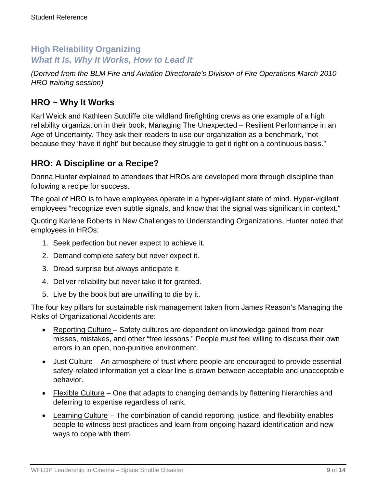# **High Reliability Organizing** *What It Is, Why It Works, How to Lead It*

*(Derived from the BLM Fire and Aviation Directorate's Division of Fire Operations March 2010 HRO training session)*

# **HRO ~ Why It Works**

Karl Weick and Kathleen Sutcliffe cite wildland firefighting crews as one example of a high reliability organization in their book, Managing The Unexpected – Resilient Performance in an Age of Uncertainty. They ask their readers to use our organization as a benchmark, "not because they 'have it right' but because they struggle to get it right on a continuous basis."

### **HRO: A Discipline or a Recipe?**

Donna Hunter explained to attendees that HROs are developed more through discipline than following a recipe for success.

The goal of HRO is to have employees operate in a hyper-vigilant state of mind. Hyper-vigilant employees "recognize even subtle signals, and know that the signal was significant in context."

Quoting Karlene Roberts in New Challenges to Understanding Organizations, Hunter noted that employees in HROs:

- 1. Seek perfection but never expect to achieve it.
- 2. Demand complete safety but never expect it.
- 3. Dread surprise but always anticipate it.
- 4. Deliver reliability but never take it for granted.
- 5. Live by the book but are unwilling to die by it.

The four key pillars for sustainable risk management taken from James Reason's Managing the Risks of Organizational Accidents are:

- Reporting Culture Safety cultures are dependent on knowledge gained from near misses, mistakes, and other "free lessons." People must feel willing to discuss their own errors in an open, non-punitive environment.
- Just Culture An atmosphere of trust where people are encouraged to provide essential safety-related information yet a clear line is drawn between acceptable and unacceptable behavior.
- Flexible Culture One that adapts to changing demands by flattening hierarchies and deferring to expertise regardless of rank.
- Learning Culture The combination of candid reporting, justice, and flexibility enables people to witness best practices and learn from ongoing hazard identification and new ways to cope with them.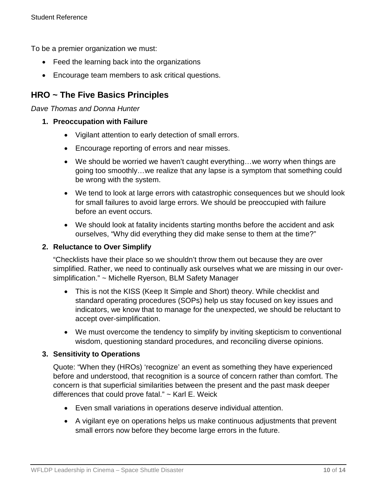To be a premier organization we must:

- Feed the learning back into the organizations
- Encourage team members to ask critical questions.

# **HRO ~ The Five Basics Principles**

#### *Dave Thomas and Donna Hunter*

#### **1. Preoccupation with Failure**

- Vigilant attention to early detection of small errors.
- Encourage reporting of errors and near misses.
- We should be worried we haven't caught everything...we worry when things are going too smoothly…we realize that any lapse is a symptom that something could be wrong with the system.
- We tend to look at large errors with catastrophic consequences but we should look for small failures to avoid large errors. We should be preoccupied with failure before an event occurs.
- We should look at fatality incidents starting months before the accident and ask ourselves, "Why did everything they did make sense to them at the time?"

#### **2. Reluctance to Over Simplify**

"Checklists have their place so we shouldn't throw them out because they are over simplified. Rather, we need to continually ask ourselves what we are missing in our oversimplification." ~ Michelle Ryerson, BLM Safety Manager

- This is not the KISS (Keep It Simple and Short) theory. While checklist and standard operating procedures (SOPs) help us stay focused on key issues and indicators, we know that to manage for the unexpected, we should be reluctant to accept over-simplification.
- We must overcome the tendency to simplify by inviting skepticism to conventional wisdom, questioning standard procedures, and reconciling diverse opinions.

#### **3. Sensitivity to Operations**

Quote: "When they (HROs) 'recognize' an event as something they have experienced before and understood, that recognition is a source of concern rather than comfort. The concern is that superficial similarities between the present and the past mask deeper differences that could prove fatal."  $\sim$  Karl E. Weick

- Even small variations in operations deserve individual attention.
- A vigilant eye on operations helps us make continuous adjustments that prevent small errors now before they become large errors in the future.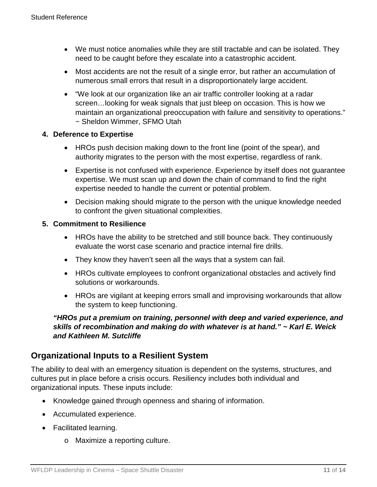- We must notice anomalies while they are still tractable and can be isolated. They need to be caught before they escalate into a catastrophic accident.
- Most accidents are not the result of a single error, but rather an accumulation of numerous small errors that result in a disproportionately large accident.
- "We look at our organization like an air traffic controller looking at a radar screen…looking for weak signals that just bleep on occasion. This is how we maintain an organizational preoccupation with failure and sensitivity to operations." ~ Sheldon Wimmer, SFMO Utah

#### **4. Deference to Expertise**

- HROs push decision making down to the front line (point of the spear), and authority migrates to the person with the most expertise, regardless of rank.
- Expertise is not confused with experience. Experience by itself does not guarantee expertise. We must scan up and down the chain of command to find the right expertise needed to handle the current or potential problem.
- Decision making should migrate to the person with the unique knowledge needed to confront the given situational complexities.

#### **5. Commitment to Resilience**

- HROs have the ability to be stretched and still bounce back. They continuously evaluate the worst case scenario and practice internal fire drills.
- They know they haven't seen all the ways that a system can fail.
- HROs cultivate employees to confront organizational obstacles and actively find solutions or workarounds.
- HROs are vigilant at keeping errors small and improvising workarounds that allow the system to keep functioning.

#### *"HROs put a premium on training, personnel with deep and varied experience, and skills of recombination and making do with whatever is at hand." ~ Karl E. Weick and Kathleen M. Sutcliffe*

### **Organizational Inputs to a Resilient System**

The ability to deal with an emergency situation is dependent on the systems, structures, and cultures put in place before a crisis occurs. Resiliency includes both individual and organizational inputs. These inputs include:

- Knowledge gained through openness and sharing of information.
- Accumulated experience.
- Facilitated learning.
	- o Maximize a reporting culture.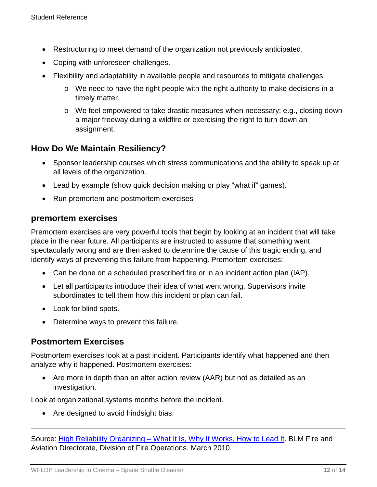- Restructuring to meet demand of the organization not previously anticipated.
- Coping with unforeseen challenges.
- Flexibility and adaptability in available people and resources to mitigate challenges.
	- o We need to have the right people with the right authority to make decisions in a timely matter.
	- o We feel empowered to take drastic measures when necessary; e.g., closing down a major freeway during a wildfire or exercising the right to turn down an assignment.

#### **How Do We Maintain Resiliency?**

- Sponsor leadership courses which stress communications and the ability to speak up at all levels of the organization.
- Lead by example (show quick decision making or play "what if" games).
- Run premortem and postmortem exercises

#### **premortem exercises**

Premortem exercises are very powerful tools that begin by looking at an incident that will take place in the near future. All participants are instructed to assume that something went spectacularly wrong and are then asked to determine the cause of this tragic ending, and identify ways of preventing this failure from happening. Premortem exercises:

- Can be done on a scheduled prescribed fire or in an incident action plan (IAP).
- Let all participants introduce their idea of what went wrong. Supervisors invite subordinates to tell them how this incident or plan can fail.
- Look for blind spots.
- Determine ways to prevent this failure.

#### **Postmortem Exercises**

Postmortem exercises look at a past incident. Participants identify what happened and then analyze why it happened. Postmortem exercises:

• Are more in depth than an after action review (AAR) but not as detailed as an investigation.

Look at organizational systems months before the incident.

• Are designed to avoid hindsight bias.

Source: High Reliability Organizing – [What It Is, Why It Works, How to Lead It.](https://www.nifc.gov/training/HRO/HRO_2010training.pdf) BLM Fire and Aviation Directorate, Division of Fire Operations. March 2010.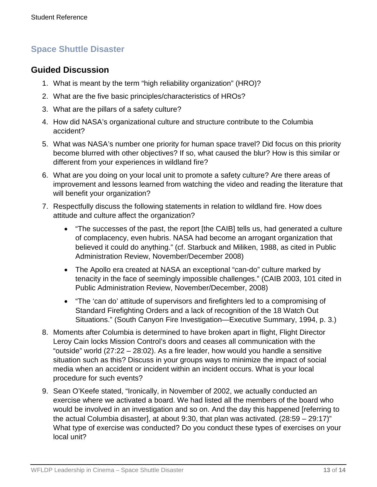# **Space Shuttle Disaster**

### **Guided Discussion**

- 1. What is meant by the term "high reliability organization" (HRO)?
- 2. What are the five basic principles/characteristics of HROs?
- 3. What are the pillars of a safety culture?
- 4. How did NASA's organizational culture and structure contribute to the Columbia accident?
- 5. What was NASA's number one priority for human space travel? Did focus on this priority become blurred with other objectives? If so, what caused the blur? How is this similar or different from your experiences in wildland fire?
- 6. What are you doing on your local unit to promote a safety culture? Are there areas of improvement and lessons learned from watching the video and reading the literature that will benefit your organization?
- 7. Respectfully discuss the following statements in relation to wildland fire. How does attitude and culture affect the organization?
	- "The successes of the past, the report [the CAIB] tells us, had generated a culture of complacency, even hubris. NASA had become an arrogant organization that believed it could do anything." (cf. Starbuck and Miliken, 1988, as cited in Public Administration Review, November/December 2008)
	- The Apollo era created at NASA an exceptional "can-do" culture marked by tenacity in the face of seemingly impossible challenges." (CAIB 2003, 101 cited in Public Administration Review, November/December, 2008)
	- "The 'can do' attitude of supervisors and firefighters led to a compromising of Standard Firefighting Orders and a lack of recognition of the 18 Watch Out Situations." (South Canyon Fire Investigation—Executive Summary, 1994, p. 3.)
- 8. Moments after Columbia is determined to have broken apart in flight, Flight Director Leroy Cain locks Mission Control's doors and ceases all communication with the "outside" world (27:22 – 28:02). As a fire leader, how would you handle a sensitive situation such as this? Discuss in your groups ways to minimize the impact of social media when an accident or incident within an incident occurs. What is your local procedure for such events?
- 9. Sean O'Keefe stated, "Ironically, in November of 2002, we actually conducted an exercise where we activated a board. We had listed all the members of the board who would be involved in an investigation and so on. And the day this happened [referring to the actual Columbia disaster], at about 9:30, that plan was activated. (28:59 – 29:17)" What type of exercise was conducted? Do you conduct these types of exercises on your local unit?